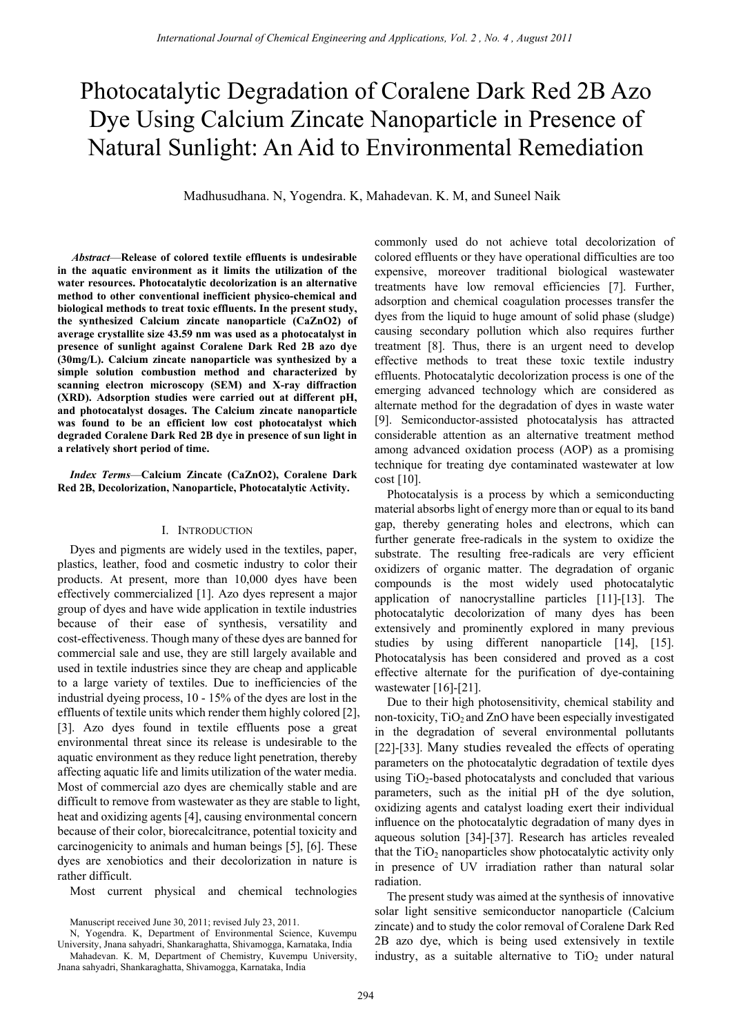# Photocatalytic Degradation of Coralene Dark Red 2B Azo Dye Using Calcium Zincate Nanoparticle in Presence of Natural Sunlight: An Aid to Environmental Remediation

Madhusudhana. N, Yogendra. K, Mahadevan. K. M, and Suneel Naik

 *Abstract*—**Release of colored textile effluents is undesirable in the aquatic environment as it limits the utilization of the water resources. Photocatalytic decolorization is an alternative method to other conventional inefficient physico-chemical and biological methods to treat toxic effluents. In the present study, the synthesized Calcium zincate nanoparticle (CaZnO2) of average crystallite size 43.59 nm was used as a photocatalyst in presence of sunlight against Coralene Dark Red 2B azo dye (30mg/L). Calcium zincate nanoparticle was synthesized by a simple solution combustion method and characterized by scanning electron microscopy (SEM) and X-ray diffraction (XRD). Adsorption studies were carried out at different pH, and photocatalyst dosages. The Calcium zincate nanoparticle was found to be an efficient low cost photocatalyst which degraded Coralene Dark Red 2B dye in presence of sun light in a relatively short period of time.** 

*Index Terms*—**Calcium Zincate (CaZnO2), Coralene Dark Red 2B, Decolorization, Nanoparticle, Photocatalytic Activity.** 

## I. INTRODUCTION

Dyes and pigments are widely used in the textiles, paper, plastics, leather, food and cosmetic industry to color their products. At present, more than 10,000 dyes have been effectively commercialized [1]. Azo dyes represent a major group of dyes and have wide application in textile industries because of their ease of synthesis, versatility and cost-effectiveness. Though many of these dyes are banned for commercial sale and use, they are still largely available and used in textile industries since they are cheap and applicable to a large variety of textiles. Due to inefficiencies of the industrial dyeing process, 10 - 15% of the dyes are lost in the effluents of textile units which render them highly colored [2], [3]. Azo dyes found in textile effluents pose a great environmental threat since its release is undesirable to the aquatic environment as they reduce light penetration, thereby affecting aquatic life and limits utilization of the water media. Most of commercial azo dyes are chemically stable and are difficult to remove from wastewater as they are stable to light, heat and oxidizing agents [4], causing environmental concern because of their color, biorecalcitrance, potential toxicity and carcinogenicity to animals and human beings [5], [6]. These dyes are xenobiotics and their decolorization in nature is rather difficult.

Most current physical and chemical technologies

commonly used do not achieve total decolorization of colored effluents or they have operational difficulties are too expensive, moreover traditional biological wastewater treatments have low removal efficiencies [7]. Further, adsorption and chemical coagulation processes transfer the dyes from the liquid to huge amount of solid phase (sludge) causing secondary pollution which also requires further treatment [8]. Thus, there is an urgent need to develop effective methods to treat these toxic textile industry effluents. Photocatalytic decolorization process is one of the emerging advanced technology which are considered as alternate method for the degradation of dyes in waste water [9]. Semiconductor-assisted photocatalysis has attracted considerable attention as an alternative treatment method among advanced oxidation process (AOP) as a promising technique for treating dye contaminated wastewater at low cost [10].

Photocatalysis is a process by which a semiconducting material absorbs light of energy more than or equal to its band gap, thereby generating holes and electrons, which can further generate free-radicals in the system to oxidize the substrate. The resulting free-radicals are very efficient oxidizers of organic matter. The degradation of organic compounds is the most widely used photocatalytic application of nanocrystalline particles [11]-[13]. The photocatalytic decolorization of many dyes has been extensively and prominently explored in many previous studies by using different nanoparticle [14], [15]. Photocatalysis has been considered and proved as a cost effective alternate for the purification of dye-containing wastewater [16]-[21].

Due to their high photosensitivity, chemical stability and non-toxicity,  $TiO<sub>2</sub>$  and ZnO have been especially investigated in the degradation of several environmental pollutants [22]-[33]. Many studies revealed the effects of operating parameters on the photocatalytic degradation of textile dyes using  $TiO<sub>2</sub>$ -based photocatalysts and concluded that various parameters, such as the initial pH of the dye solution, oxidizing agents and catalyst loading exert their individual influence on the photocatalytic degradation of many dyes in aqueous solution [34]-[37]. Research has articles revealed that the  $TiO<sub>2</sub>$  nanoparticles show photocatalytic activity only in presence of UV irradiation rather than natural solar radiation.

The present study was aimed at the synthesis of innovative solar light sensitive semiconductor nanoparticle (Calcium zincate) and to study the color removal of Coralene Dark Red 2B azo dye, which is being used extensively in textile industry, as a suitable alternative to  $TiO<sub>2</sub>$  under natural

Manuscript received June 30, 2011; revised July 23, 2011.

N, Yogendra. K, Department of Environmental Science, Kuvempu University, Jnana sahyadri, Shankaraghatta, Shivamogga, Karnataka, India

Mahadevan. K. M, Department of Chemistry, Kuvempu University, Jnana sahyadri, Shankaraghatta, Shivamogga, Karnataka, India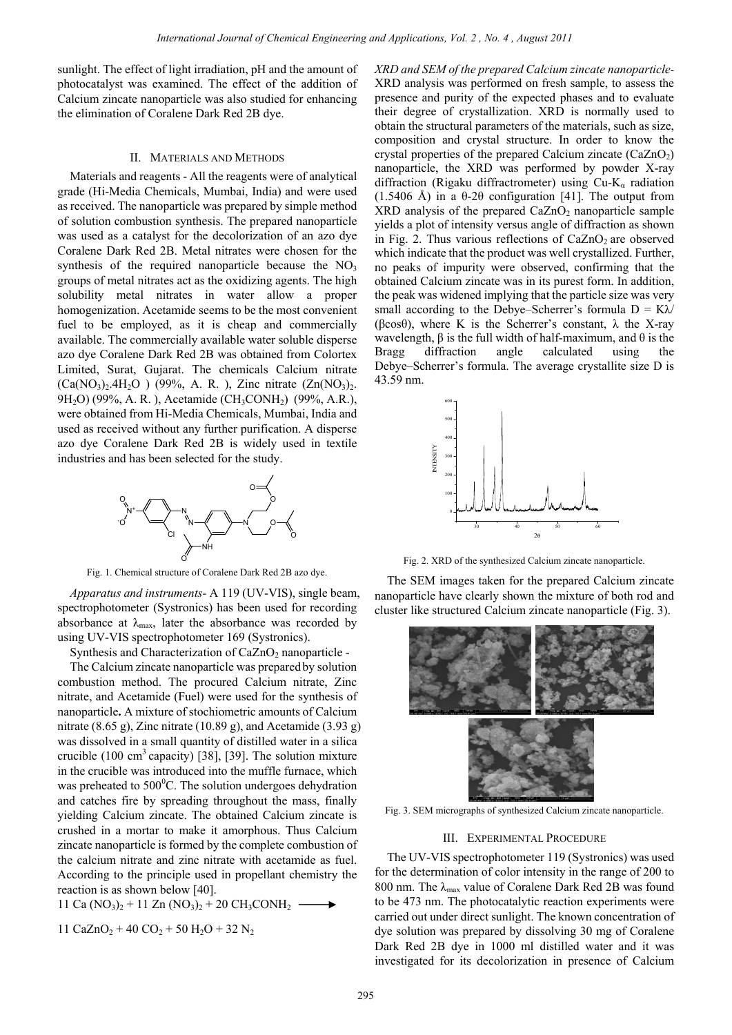sunlight. The effect of light irradiation, pH and the amount of photocatalyst was examined. The effect of the addition of Calcium zincate nanoparticle was also studied for enhancing the elimination of Coralene Dark Red 2B dye.

## II. MATERIALS AND METHODS

Materials and reagents - All the reagents were of analytical grade (Hi-Media Chemicals, Mumbai, India) and were used as received. The nanoparticle was prepared by simple method of solution combustion synthesis. The prepared nanoparticle was used as a catalyst for the decolorization of an azo dye Coralene Dark Red 2B. Metal nitrates were chosen for the synthesis of the required nanoparticle because the  $NO<sub>3</sub>$ groups of metal nitrates act as the oxidizing agents. The high solubility metal nitrates in water allow a proper homogenization. Acetamide seems to be the most convenient fuel to be employed, as it is cheap and commercially available. The commercially available water soluble disperse azo dye Coralene Dark Red 2B was obtained from Colortex Limited, Surat, Gujarat. The chemicals Calcium nitrate  $(Ca(NO_3)_{2}.4H_2O)$  (99%, A. R.), Zinc nitrate  $(Zn(NO_3)_{2}.$ 9H<sub>2</sub>O) (99%, A. R.), Acetamide (CH<sub>3</sub>CONH<sub>2</sub>) (99%, A.R.), were obtained from Hi-Media Chemicals, Mumbai, India and used as received without any further purification. A disperse azo dye Coralene Dark Red 2B is widely used in textile industries and has been selected for the study.



Fig. 1. Chemical structure of Coralene Dark Red 2B azo dye.

*Apparatus and instruments-* A 119 (UV-VIS), single beam, spectrophotometer (Systronics) has been used for recording absorbance at  $\lambda_{\text{max}}$ , later the absorbance was recorded by using UV-VIS spectrophotometer 169 (Systronics).

Synthesis and Characterization of  $CaZnO<sub>2</sub>$  nanoparticle -

The Calcium zincate nanoparticle was prepared by solution combustion method. The procured Calcium nitrate, Zinc nitrate, and Acetamide (Fuel) were used for the synthesis of nanoparticle**.** A mixture of stochiometric amounts of Calcium nitrate (8.65 g), Zinc nitrate (10.89 g), and Acetamide (3.93 g) was dissolved in a small quantity of distilled water in a silica crucible  $(100 \text{ cm}^3 \text{ capacity})$  [38], [39]. The solution mixture in the crucible was introduced into the muffle furnace, which was preheated to  $500^{\circ}$ C. The solution undergoes dehydration and catches fire by spreading throughout the mass, finally yielding Calcium zincate. The obtained Calcium zincate is crushed in a mortar to make it amorphous. Thus Calcium zincate nanoparticle is formed by the complete combustion of the calcium nitrate and zinc nitrate with acetamide as fuel. According to the principle used in propellant chemistry the reaction is as shown below [40].

11 Ca  $(NO_3)_2 + 11 Zn (NO_3)_2 + 20 CH_3CONH_2 \longrightarrow$ 

11 CaZnO<sub>2</sub> + 40 CO<sub>2</sub> + 50 H<sub>2</sub>O + 32 N<sub>2</sub>

*XRD and SEM of the prepared Calcium zincate nanoparticle-*XRD analysis was performed on fresh sample, to assess the presence and purity of the expected phases and to evaluate their degree of crystallization. XRD is normally used to obtain the structural parameters of the materials, such as size, composition and crystal structure. In order to know the crystal properties of the prepared Calcium zincate  $(CaZnO<sub>2</sub>)$ nanoparticle, the XRD was performed by powder X-ray diffraction (Rigaku diffractrometer) using  $Cu-K_a$  radiation (1.5406 Å) in a  $\theta$ -2 $\theta$  configuration [41]. The output from  $XRD$  analysis of the prepared  $CaZnO<sub>2</sub>$  nanoparticle sample yields a plot of intensity versus angle of diffraction as shown in Fig. 2. Thus various reflections of  $CaZnO<sub>2</sub>$  are observed which indicate that the product was well crystallized. Further, no peaks of impurity were observed, confirming that the obtained Calcium zincate was in its purest form. In addition, the peak was widened implying that the particle size was very small according to the Debye–Scherrer's formula  $D = K\lambda$ ( $\beta$ cos $\theta$ ), where K is the Scherrer's constant,  $\lambda$  the X-ray wavelength,  $\beta$  is the full width of half-maximum, and  $\theta$  is the Bragg diffraction angle calculated using the Debye–Scherrer's formula. The average crystallite size D is 43.59 nm.



Fig. 2. XRD of the synthesized Calcium zincate nanoparticle.

The SEM images taken for the prepared Calcium zincate nanoparticle have clearly shown the mixture of both rod and cluster like structured Calcium zincate nanoparticle (Fig. 3).



Fig. 3. SEM micrographs of synthesized Calcium zincate nanoparticle.

#### III. EXPERIMENTAL PROCEDURE

The UV-VIS spectrophotometer 119 (Systronics) was used for the determination of color intensity in the range of 200 to 800 nm. The  $\lambda_{\text{max}}$  value of Coralene Dark Red 2B was found to be 473 nm. The photocatalytic reaction experiments were carried out under direct sunlight. The known concentration of dye solution was prepared by dissolving 30 mg of Coralene Dark Red 2B dye in 1000 ml distilled water and it was investigated for its decolorization in presence of Calcium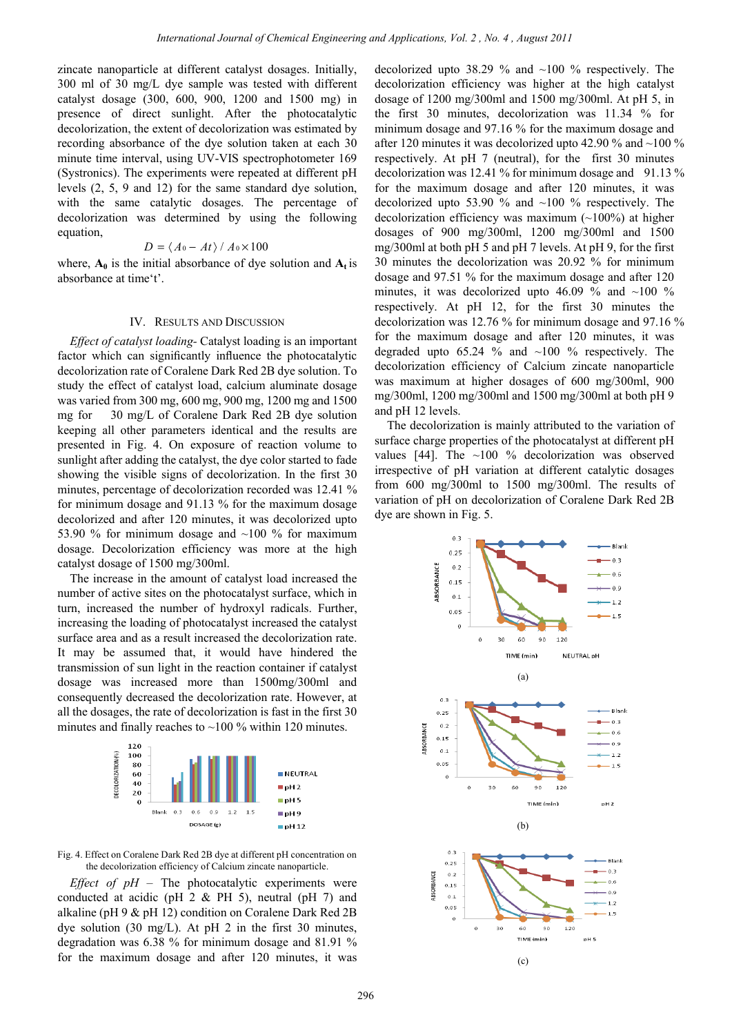zincate nanoparticle at different catalyst dosages. Initially, 300 ml of 30 mg/L dye sample was tested with different catalyst dosage (300, 600, 900, 1200 and 1500 mg) in presence of direct sunlight. After the photocatalytic decolorization, the extent of decolorization was estimated by recording absorbance of the dye solution taken at each 30 minute time interval, using UV-VIS spectrophotometer 169 (Systronics). The experiments were repeated at different pH levels (2, 5, 9 and 12) for the same standard dye solution, with the same catalytic dosages. The percentage of decolorization was determined by using the following equation,

$$
D = \langle A_0 - At \rangle / A_0 \times 100
$$

where,  $\mathbf{A}_0$  is the initial absorbance of dye solution and  $\mathbf{A}_t$  is absorbance at time't'.

## IV. RESULTS AND DISCUSSION

*Effect of catalyst loading-* Catalyst loading is an important factor which can significantly influence the photocatalytic decolorization rate of Coralene Dark Red 2B dye solution. To study the effect of catalyst load, calcium aluminate dosage was varied from 300 mg, 600 mg, 900 mg, 1200 mg and 1500 mg for 30 mg/L of Coralene Dark Red 2B dye solution keeping all other parameters identical and the results are presented in Fig. 4. On exposure of reaction volume to sunlight after adding the catalyst, the dye color started to fade showing the visible signs of decolorization. In the first 30 minutes, percentage of decolorization recorded was 12.41 % for minimum dosage and 91.13 % for the maximum dosage decolorized and after 120 minutes, it was decolorized upto 53.90 % for minimum dosage and ~100 % for maximum dosage. Decolorization efficiency was more at the high catalyst dosage of 1500 mg/300ml.

The increase in the amount of catalyst load increased the number of active sites on the photocatalyst surface, which in turn, increased the number of hydroxyl radicals. Further, increasing the loading of photocatalyst increased the catalyst surface area and as a result increased the decolorization rate. It may be assumed that, it would have hindered the transmission of sun light in the reaction container if catalyst dosage was increased more than 1500mg/300ml and consequently decreased the decolorization rate. However, at all the dosages, the rate of decolorization is fast in the first 30 minutes and finally reaches to  $\sim$ 100 % within 120 minutes.



Fig. 4. Effect on Coralene Dark Red 2B dye at different pH concentration on the decolorization efficiency of Calcium zincate nanoparticle.

*Effect of*  $pH$  *– The photocatalytic experiments were* conducted at acidic (pH  $2 \&$  PH  $5$ ), neutral (pH  $7$ ) and alkaline (pH 9 & pH 12) condition on Coralene Dark Red 2B dye solution (30 mg/L). At pH 2 in the first 30 minutes, degradation was 6.38 % for minimum dosage and 81.91 % for the maximum dosage and after 120 minutes, it was decolorized upto 38.29 % and ~100 % respectively. The decolorization efficiency was higher at the high catalyst dosage of 1200 mg/300ml and 1500 mg/300ml. At pH 5, in the first 30 minutes, decolorization was 11.34 % for minimum dosage and 97.16 % for the maximum dosage and after 120 minutes it was decolorized upto 42.90  $\%$  and  $\sim$ 100  $\%$ respectively. At pH 7 (neutral), for the first 30 minutes decolorization was 12.41 % for minimum dosage and 91.13 % for the maximum dosage and after 120 minutes, it was decolorized upto 53.90 % and  $\sim$ 100 % respectively. The decolorization efficiency was maximum  $(\sim 100\%)$  at higher dosages of 900 mg/300ml, 1200 mg/300ml and 1500 mg/300ml at both pH 5 and pH 7 levels. At pH 9, for the first 30 minutes the decolorization was 20.92 % for minimum dosage and 97.51 % for the maximum dosage and after 120 minutes, it was decolorized upto 46.09 % and  $\sim$ 100 % respectively. At pH 12, for the first 30 minutes the decolorization was 12.76 % for minimum dosage and 97.16 % for the maximum dosage and after 120 minutes, it was degraded upto  $65.24 \%$  and  $~100 \%$  respectively. The decolorization efficiency of Calcium zincate nanoparticle was maximum at higher dosages of 600 mg/300ml, 900 mg/300ml, 1200 mg/300ml and 1500 mg/300ml at both pH 9 and pH 12 levels.

The decolorization is mainly attributed to the variation of surface charge properties of the photocatalyst at different pH values [44]. The  $\sim$ 100 % decolorization was observed irrespective of pH variation at different catalytic dosages from 600 mg/300ml to 1500 mg/300ml. The results of variation of pH on decolorization of Coralene Dark Red 2B dye are shown in Fig. 5.

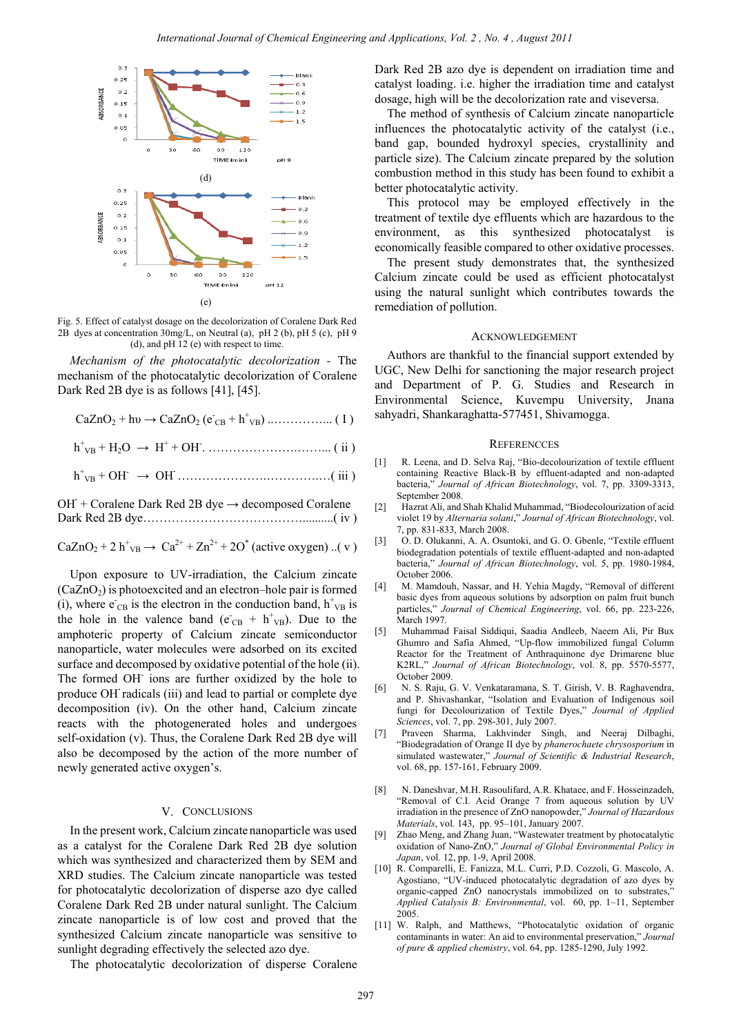

Fig. 5. Effect of catalyst dosage on the decolorization of Coralene Dark Red 2B dyes at concentration 30mg/L, on Neutral (a), pH 2 (b), pH 5 (c), pH 9 (d), and pH 12 (e) with respect to time.

*Mechanism of the photocatalytic decolorization -* The mechanism of the photocatalytic decolorization of Coralene Dark Red 2B dye is as follows [41], [45].

|  | $CaZnO_2 + hv \rightarrow CaZnO_2 (e_{CB} + h_{VB}^+) \dots \dots \dots \dots \dots (1)$ |  |  |
|--|------------------------------------------------------------------------------------------|--|--|
|--|------------------------------------------------------------------------------------------|--|--|

h+ VB + H2O → H<sup>+</sup> + OH- . ………………….……... ( ii )

 $h_{VB}^+$  + OH<sup>-</sup>  $\rightarrow$  OH<sup>-</sup>  $\ldots$   $\ldots$   $\ldots$   $\ldots$   $\ldots$   $\ldots$   $\ldots$  (iii)

| OH + Coralene Dark Red 2B dye $\rightarrow$ decomposed Coralene |  |
|-----------------------------------------------------------------|--|
|                                                                 |  |

 $CaZnO_2 + 2 h^{+}v_B \rightarrow Ca^{2+} + Zn^{2+} + 2O^{*}$  (active oxygen) ..(v)

Upon exposure to UV-irradiation, the Calcium zincate  $(CaZnO<sub>2</sub>)$  is photoexcited and an electron–hole pair is formed (i), where  $e_{CB}$  is the electron in the conduction band,  $h_{VB}^+$  is the hole in the valence band ( $e_{CB} + h_{VB}^+$ ). Due to the amphoteric property of Calcium zincate semiconductor nanoparticle, water molecules were adsorbed on its excited surface and decomposed by oxidative potential of the hole (ii). The formed OH<sup>-</sup> ions are further oxidized by the hole to produce OH**·** radicals (iii) and lead to partial or complete dye decomposition (iv). On the other hand, Calcium zincate reacts with the photogenerated holes and undergoes self-oxidation (v). Thus, the Coralene Dark Red 2B dye will also be decomposed by the action of the more number of newly generated active oxygen's.

#### V. CONCLUSIONS

In the present work, Calcium zincate nanoparticle was used as a catalyst for the Coralene Dark Red 2B dye solution which was synthesized and characterized them by SEM and XRD studies. The Calcium zincate nanoparticle was tested for photocatalytic decolorization of disperse azo dye called Coralene Dark Red 2B under natural sunlight. The Calcium zincate nanoparticle is of low cost and proved that the synthesized Calcium zincate nanoparticle was sensitive to sunlight degrading effectively the selected azo dye.

The photocatalytic decolorization of disperse Coralene

Dark Red 2B azo dye is dependent on irradiation time and catalyst loading. i.e. higher the irradiation time and catalyst dosage, high will be the decolorization rate and viseversa.

The method of synthesis of Calcium zincate nanoparticle influences the photocatalytic activity of the catalyst (i.e., band gap, bounded hydroxyl species, crystallinity and particle size). The Calcium zincate prepared by the solution combustion method in this study has been found to exhibit a better photocatalytic activity.

This protocol may be employed effectively in the treatment of textile dye effluents which are hazardous to the environment, as this synthesized photocatalyst is economically feasible compared to other oxidative processes.

The present study demonstrates that, the synthesized Calcium zincate could be used as efficient photocatalyst using the natural sunlight which contributes towards the remediation of pollution.

#### ACKNOWLEDGEMENT

Authors are thankful to the financial support extended by UGC, New Delhi for sanctioning the major research project and Department of P. G. Studies and Research in Environmental Science, Kuvempu University, Jnana sahyadri, Shankaraghatta-577451, Shivamogga.

#### **REFERENCCES**

- [1] R. Leena, and D. Selva Raj, "Bio-decolourization of textile effluent containing Reactive Black-B by effluent-adapted and non-adapted bacteria," *Journal of African Biotechnology*, vol. 7, pp. 3309-3313, September 2008.
- [2] Hazrat Ali, and Shah Khalid Muhammad, "Biodecolourization of acid violet 19 by *Alternaria solani*," *Journal of African Biotechnology*, vol. 7, pp. 831-833, March 2008.
- [3] O. D. Olukanni, A. A. Osuntoki, and G. O. Gbenle, "Textile effluent biodegradation potentials of textile effluent-adapted and non-adapted bacteria," *Journal of African Biotechnology*, vol. 5, pp. 1980-1984, October 2006.
- [4] M. Mamdouh, Nassar, and H. Yehia Magdy, "Removal of different basic dyes from aqueous solutions by adsorption on palm fruit bunch particles," *Journal of Chemical Engineering*, vol. 66, pp. 223-226, March 1997.
- [5] Muhammad Faisal Siddiqui, Saadia Andleeb, Naeem Ali, Pir Bux Ghumro and Safia Ahmed, "Up-flow immobilized fungal Column Reactor for the Treatment of Anthraquinone dye Drimarene blue K2RL," *Journal of African Biotechnology*, vol. 8, pp. 5570-5577, October 2009.
- [6] N. S. Raju, G. V. Venkataramana, S. T. Girish, V. B. Raghavendra, and P. Shivashankar, "Isolation and Evaluation of Indigenous soil fungi for Decolourization of Textile Dyes," *Journal of Applied Sciences*, vol. 7, pp. 298-301, July 2007.
- [7] Praveen Sharma, Lakhvinder Singh, and Neeraj Dilbaghi, "Biodegradation of Orange II dye by *phanerochaete chrysosporium* in simulated wastewater," *Journal of Scientific & Industrial Research*, vol. 68, pp. 157-161, February 2009.
- [8] N. Daneshvar, M.H. Rasoulifard, A.R. Khataee, and F. Hosseinzadeh, "Removal of C.I. Acid Orange 7 from aqueous solution by UV irradiation in the presence of ZnO nanopowder," *Journal of Hazardous Materials*, vol. 143, pp. 95–101, January 2007.
- [9] Zhao Meng, and Zhang Juan, "Wastewater treatment by photocatalytic oxidation of Nano-ZnO," *Journal of Global Environmental Policy in Japan*, vol. 12, pp. 1-9, April 2008.
- [10] R. Comparelli, E. Fanizza, M.L. Curri, P.D. Cozzoli, G. Mascolo, A. Agostiano, "UV-induced photocatalytic degradation of azo dyes by organic-capped ZnO nanocrystals immobilized on to substrates," *Applied Catalysis B: Environmental*, vol. 60, pp. 1–11, September 2005.
- [11] W. Ralph, and Matthews, "Photocatalytic oxidation of organic contaminants in water: An aid to environmental preservation," *Journal of pure & applied chemistry*, vol. 64, pp. 1285-1290, July 1992.